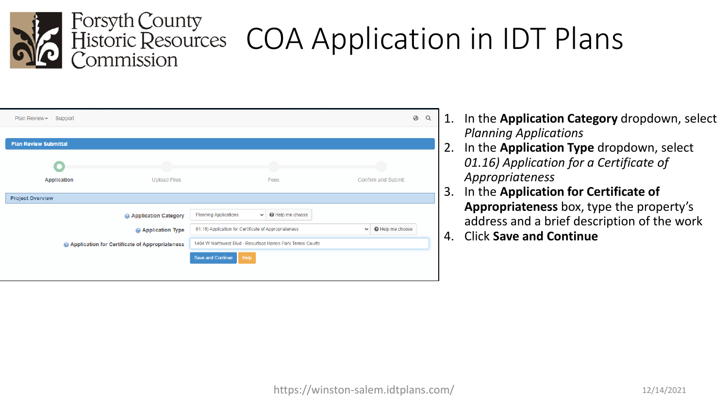

| Plan Review -<br>Support     |                                                |                                                            |                |              | ❸<br>Q             |
|------------------------------|------------------------------------------------|------------------------------------------------------------|----------------|--------------|--------------------|
|                              |                                                |                                                            |                |              |                    |
| <b>Plan Review Submittal</b> |                                                |                                                            |                |              |                    |
|                              |                                                |                                                            |                |              |                    |
| <b>Application</b>           | <b>Upload Files</b>                            |                                                            | Fees           |              | Confirm and Submit |
| <b>Project Overview</b>      |                                                |                                                            |                |              |                    |
|                              | <b>Application Category</b>                    | <b>Planning Applications</b><br>$\checkmark$               | Help me choose |              |                    |
|                              | Application Type                               | 01.16) Application for Certificate of Appropriateness      |                | $\checkmark$ | Help me choose     |
|                              | Application for Certificate of Appropriateness | 1404 W Northwest Blvd - Resurface Hanes Park Tennis Courts |                |              |                    |
|                              |                                                | <b>Save and Continue</b><br>Help                           |                |              |                    |
|                              |                                                |                                                            |                |              |                    |

- 1. In the **Application Category** dropdown, select *Planning Applications*
- 2. In the **Application Type** dropdown, select *01.16) Application for a Certificate of Appropriateness*
- 3. In the **Application for Certificate of Appropriateness** box, type the property's address and a brief description of the work
- 4. Click **Save and Continue**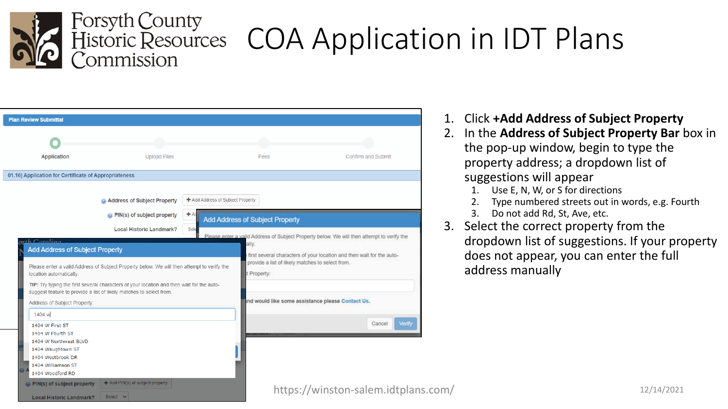

Select v

**Local Historic Landmark?** 

### COA Application in IDT Plans

| <b>Plan Review Submittal</b>                                                                                                  |                                                                                                                |                                                                      |                                                                                                                                                                                                                         |
|-------------------------------------------------------------------------------------------------------------------------------|----------------------------------------------------------------------------------------------------------------|----------------------------------------------------------------------|-------------------------------------------------------------------------------------------------------------------------------------------------------------------------------------------------------------------------|
|                                                                                                                               |                                                                                                                | a n                                                                  |                                                                                                                                                                                                                         |
| <b>Application</b>                                                                                                            | <b>Upload Files</b>                                                                                            | Fees                                                                 | Confirm and Submit                                                                                                                                                                                                      |
| 01.16) Application for Certificate of Appropriateness                                                                         |                                                                                                                |                                                                      |                                                                                                                                                                                                                         |
|                                                                                                                               | Address of Subject Property<br>$+$ Ad<br>PIN(s) of subject property<br><b>Local Historic Landmark?</b><br>Sele | + Add Address of Subject Property<br>Add Address of Subject Property |                                                                                                                                                                                                                         |
| $th$ Carolina<br><b>Add Address of Subject Property</b>                                                                       | Please enter a valid Address of Subject Property below. We will then attempt to verify the                     | ally.                                                                | Please enter a valid Address of Subject Property below. We will then attempt to verify the<br>first several characters of your location and then wait for the auto-<br>provide a list of likely matches to select from. |
| location automatically.<br>suggest feature to provide a list of likely matches to select from.                                | TIP: Try typing the first several characters of your location and then wait for the auto-                      | t Property:                                                          |                                                                                                                                                                                                                         |
| Address of Subject Property:<br>1404 w<br>1404 W First ST                                                                     |                                                                                                                |                                                                      | ind would like some assistance please Contact Us.<br>Verify<br>Cancel                                                                                                                                                   |
| 1404 W Fourth ST<br>1404 W Northwest BLVD<br>1404 Waughtown ST<br>1404 Westbrook DR<br>1404 Williamson ST<br>1404 Woodford RD |                                                                                                                |                                                                      |                                                                                                                                                                                                                         |
| PIN(s) of subject property                                                                                                    | $\bigstar$ Add PIN(s) of subject property                                                                      |                                                                      | httns://winston-salem.idtnlar                                                                                                                                                                                           |

- 1. Click **+Add Address of Subject Property**
- 2. In the **Address of Subject Property Bar** box in the pop-up window, begin to type the property address; a dropdown list of suggestions will appear
	- 1. Use E, N, W, or S for directions
	- Type numbered streets out in words, e.g. Fourth
	- Do not add Rd, St, Ave, etc.
- Select the correct property from the dropdown list of suggestions. If your property does not appear, you can enter the full address manually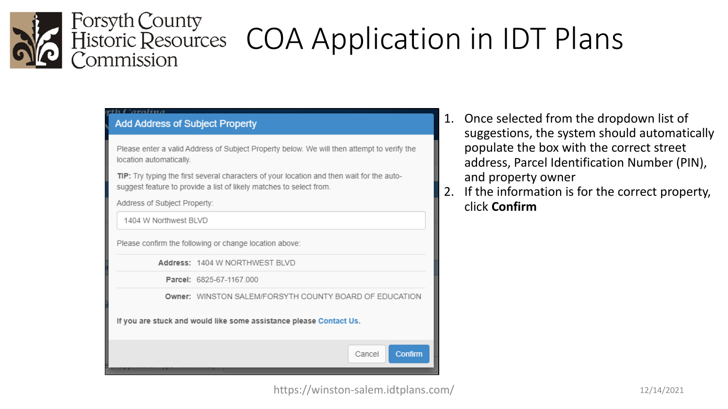

#### a Carolina

#### **Add Address of Subject Property**

Please enter a valid Address of Subject Property below. We will then attempt to verify the location automatically.

TIP: Try typing the first several characters of your location and then wait for the autosuggest feature to provide a list of likely matches to select from.

Address of Subject Property:

1404 W Northwest BLVD

Please confirm the following or change location above:

Address: 1404 W NORTHWEST BLVD

Parcel: 6825-67-1167.000

Owner: WINSTON SALEM/FORSYTH COUNTY BOARD OF EDUCATION

If you are stuck and would like some assistance please Contact Us.



- 1. Once selected from the dropdown list of suggestions, the system should automatically populate the box with the correct street address, Parcel Identification Number (PIN), and property owner
- If the information is for the correct property, click **Confirm**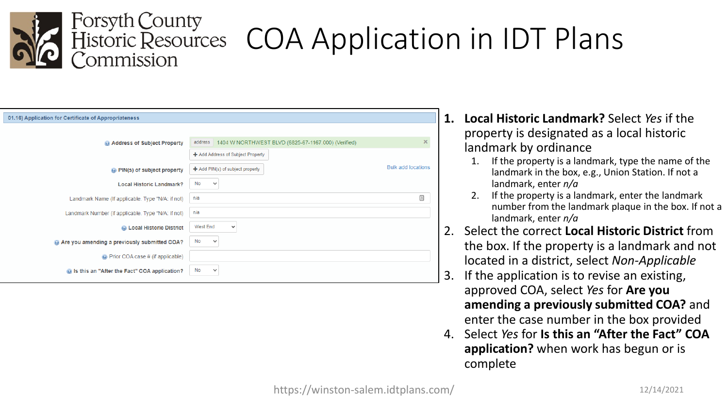

### COA Application in IDT Plans

| 01.16) Application for Certificate of Appropriateness      |                                                               |                           |
|------------------------------------------------------------|---------------------------------------------------------------|---------------------------|
|                                                            |                                                               |                           |
| Address of Subject Property                                | address   1404 W NORTHWEST BLVD (6825-67-1167.000) (Verified) | ×                         |
|                                                            | + Add Address of Subject Property                             |                           |
| @ PIN(s) of subject property                               | $+$ Add PIN(s) of subject property                            | <b>Bulk add locations</b> |
| <b>Local Historic Landmark?</b>                            | No<br>$\checkmark$                                            |                           |
| Landmark Name (If applicable. Type "N/A: if not)           | n/a                                                           | ▣                         |
| Landmark Number (if applicable. Type "N/A: if not)         | n/a                                                           |                           |
| C Local Historic District                                  | West End<br>$\checkmark$                                      |                           |
| Are you amending a previously submitted COA?               | No<br>$\checkmark$                                            |                           |
| O Prior COA case # (if applicable)                         |                                                               |                           |
| ightharpoonup is this an "After the Fact" COA application? | No<br>$\checkmark$                                            |                           |

- **1. Local Historic Landmark?** Select *Yes* if the property is designated as a local historic landmark by ordinance
	- 1. If the property is a landmark, type the name of the landmark in the box, e.g., Union Station. If not a landmark, enter *n/a*
	- 2. If the property is a landmark, enter the landmark number from the landmark plaque in the box. If not a landmark, enter *n/a*
- 2. Select the correct **Local Historic District** from the box. If the property is a landmark and not located in a district, select *Non-Applicable*
- If the application is to revise an existing, approved COA, select *Yes* for **Are you amending a previously submitted COA?** and enter the case number in the box provided
- 4. Select *Yes* for **Is this an "After the Fact" COA application?** when work has begun or is complete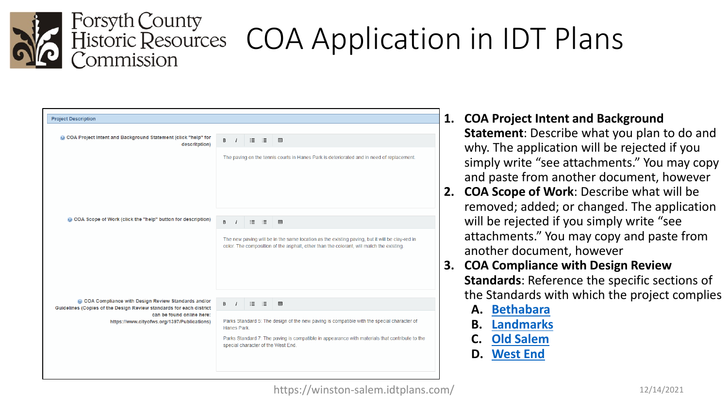

| <b>Project Description</b>                                                                                                |   |                |     |                                                                                                                                                                                                                                    |
|---------------------------------------------------------------------------------------------------------------------------|---|----------------|-----|------------------------------------------------------------------------------------------------------------------------------------------------------------------------------------------------------------------------------------|
|                                                                                                                           |   |                |     |                                                                                                                                                                                                                                    |
| © COA Project Intent and Background Statement (click "help" for<br>descritption)                                          | в | $\prime$       | 猫 猫 | 囲                                                                                                                                                                                                                                  |
|                                                                                                                           |   |                |     | The paving on the tennis courts in Hanes Park is deteriorated and in need of replacement.                                                                                                                                          |
| © COA Scope of Work (click the "help" button for description)                                                             | в | $\overline{1}$ |     | 田                                                                                                                                                                                                                                  |
|                                                                                                                           |   |                |     | The new paving will be in the same location as the existing paving, but it will be clay-red in<br>color. The composition of the asphalt, other than the colorant, will match the existing.                                         |
| COA Compliance with Design Review Standards and/or<br>Guidelines (Copies of the Design Review standards for each district | в | $\prime$       |     | 囲                                                                                                                                                                                                                                  |
| can be found online here:<br>https://www.cityofws.org/1397/Publications)                                                  |   | Hanes Park     |     | Parks Standard 5: The design of the new paving is compatible with the special character of<br>Parks Standard 7: The paving is compatible in appearance with materials that contribute to the<br>special character of the West End. |
|                                                                                                                           |   |                |     |                                                                                                                                                                                                                                    |

#### **1. COA Project Intent and Background Statement**: Describe what you plan to do and why. The application will be rejected if you simply write "see attachments." You may copy and paste from another document, however

- **2. COA Scope of Work**: Describe what will be removed; added; or changed. The application will be rejected if you simply write "see attachments." You may copy and paste from another document, however
- **3. COA Compliance with Design Review Standards**: Reference the specific sections of the Standards with which the project complies
	- **A. [Bethabara](https://www.cityofws.org/DocumentCenter/View/21034/Bethabara-Historic-District-Standards-July-2021-PDF)**
	- **B. [Landmarks](https://www.cityofws.org/DocumentCenter/View/21035/Historic-Landmark-Standards-July-2021-PDF)**
	- **C. [Old Salem](https://www.cityofws.org/DocumentCenter/View/21036/Old-Salem-Historic-District-Standards-July-2021-PDF)**
	- **D. [West End](https://www.cityofws.org/DocumentCenter/View/4089)**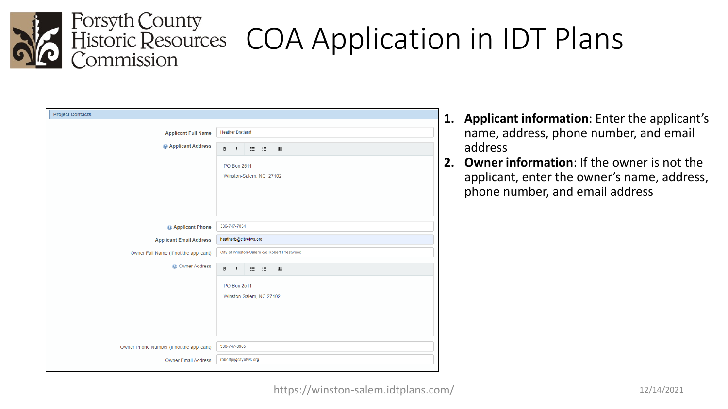

| <b>Project Contacts</b>                   |                         |                         |                                            |
|-------------------------------------------|-------------------------|-------------------------|--------------------------------------------|
|                                           |                         |                         |                                            |
| <b>Applicant Full Name</b>                | <b>Heather Bratland</b> |                         |                                            |
|                                           |                         |                         |                                            |
| <b>@ Applicant Address</b>                | $B$ /                   |                         | $\boxplus$                                 |
|                                           | PO Box 2511             |                         |                                            |
|                                           |                         |                         |                                            |
|                                           |                         | Winston-Salem, NC 27102 |                                            |
|                                           |                         |                         |                                            |
|                                           |                         |                         |                                            |
|                                           |                         |                         |                                            |
|                                           |                         |                         |                                            |
| Applicant Phone                           | 336-747-7054            |                         |                                            |
| <b>Applicant Email Address</b>            |                         | heatherb@cityofws.org   |                                            |
|                                           |                         |                         |                                            |
| Owner Full Name (If not the applicant)    |                         |                         | City of Winston-Salem c/o Robert Prestwood |
| <b>O</b> Owner Address                    |                         | B / H H H               | 囲                                          |
|                                           |                         |                         |                                            |
|                                           | PO Box 2511             |                         |                                            |
|                                           |                         | Winston-Salem, NC 27102 |                                            |
|                                           |                         |                         |                                            |
|                                           |                         |                         |                                            |
|                                           |                         |                         |                                            |
|                                           |                         |                         |                                            |
|                                           |                         |                         |                                            |
| Owner Phone Number (if not the applicant) | 336-747-6985            |                         |                                            |
| <b>Owner Email Address</b>                | robertp@cityofws.org    |                         |                                            |
|                                           |                         |                         |                                            |

- **1. Applicant information**: Enter the applicant's name, address, phone number, and email address
- **2. Owner information**: If the owner is not the applicant, enter the owner's name, address, phone number, and email address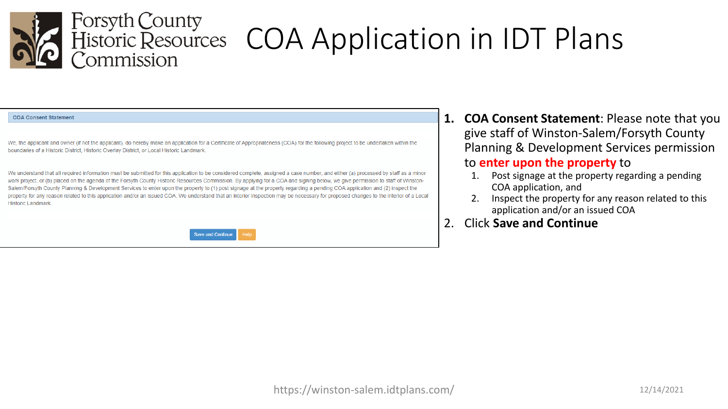

### COA Application in IDT Plans

#### **COA Consent Statement**

We, the applicant and owner (if not the applicant), do hereby make an application for a Certificate of Appropriateness (COA) for the following project to be undertaken within the boundaries of a Historic District, Historic Overlay District, or Local Historic Landmark

We understand that all required information must be submitted for this application to be considered complete, assigned a case number, and either (a) processed by staff as a minor work project, or (b) placed on the agenda of the Forsyth County Historic Resources Commission. By applying for a COA and signing below, we give permission to staff of Winston-Salem/Forsyth County Planning & Development Services to enter upon the property to (1) post signage at the property regarding a pending COA application and (2) inspect the property for any reason related to this application and/or an issued COA. We understand that an interior inspection may be necessary for proposed changes to the interior of a Local **Historic Landmark** 



- **1. COA Consent Statement**: Please note that you give staff of Winston-Salem/Forsyth County Planning & Development Services permission to **enter upon the property** to
	- 1. Post signage at the property regarding a pending COA application, and
	- 2. Inspect the property for any reason related to this application and/or an issued COA
- 2. Click **Save and Continue**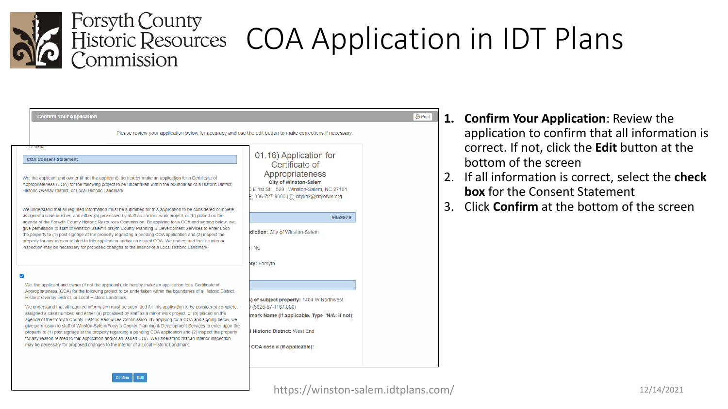

Confirm Edit

| <b>Confirm Your Application</b>                                                                                                                                                                                                                                                                                                                                                                                                                                                                                                                                                                                                                                                                                                                                                                                                                                                                                                                                                                                                                                                                               |                                                                                                                                                                                                                                                            | <b>合 Print</b> |
|---------------------------------------------------------------------------------------------------------------------------------------------------------------------------------------------------------------------------------------------------------------------------------------------------------------------------------------------------------------------------------------------------------------------------------------------------------------------------------------------------------------------------------------------------------------------------------------------------------------------------------------------------------------------------------------------------------------------------------------------------------------------------------------------------------------------------------------------------------------------------------------------------------------------------------------------------------------------------------------------------------------------------------------------------------------------------------------------------------------|------------------------------------------------------------------------------------------------------------------------------------------------------------------------------------------------------------------------------------------------------------|----------------|
| Please review your application below for accuracy and use the edit button to make corrections if necessary.                                                                                                                                                                                                                                                                                                                                                                                                                                                                                                                                                                                                                                                                                                                                                                                                                                                                                                                                                                                                   |                                                                                                                                                                                                                                                            |                |
| $141 - 6980$<br><b>COA Consent Statement</b><br>We, the applicant and owner (if not the applicant), do hereby make an application for a Certificate of<br>Appropriateness (COA) for the following project to be undertaken within the boundaries of a Historic District,<br>Historic Overlay District, or Local Historic Landmark.<br>We understand that all required information must be submitted for this application to be considered complete,<br>assigned a case number, and either (a) processed by staff as a minor work project, or (b) placed on the<br>agenda of the Forsyth County Historic Resources Commission. By applying for a COA and signing below, we<br>give permission to staff of Winston-Salem/Forsyth County Planning & Development Services to enter upon<br>the property to (1) post signage at the property regarding a pending COA application and (2) inspect the<br>property for any reason related to this application and/or an issued COA. We understand that an interior<br>inspection may be necessary for proposed changes to the interior of a Local Historic Landmark. | 01.16) Application for<br>Certificate of<br>Appropriateness<br><b>City of Winston-Salem</b><br>E 1st St., 520   Winston-Salem, NC 27101<br>2: 336-727-8000   E: citylink@cityofws.org<br>#659979<br>diction: City of Winston-Salem<br>: NC<br>ity: Forsyth |                |
| $\blacktriangledown$<br>We, the applicant and owner (if not the applicant), do hereby make an application for a Certificate of<br>Appropriateness (COA) for the following project to be undertaken within the boundaries of a Historic District,<br>Historic Overlay District, or Local Historic Landmark.<br>We understand that all required information must be submitted for this application to be considered complete,<br>assigned a case number, and either (a) processed by staff as a minor work project, or (b) placed on the<br>agenda of the Forsyth County Historic Resources Commission. By applying for a COA and signing below, we<br>give permission to staff of Winston-Salem/Forsyth County Planning & Development Services to enter upon the<br>property to (1) post signage at the property regarding a pending COA application and (2) inspect the property<br>for any reason related to this application and/or an issued COA. We understand that an interior inspection<br>may be necessary for proposed changes to the interior of a Local Historic Landmark.                         | ) of subject property: 1404 W Northwest<br>(6825-67-1167.000)<br>mark Name (If applicable. Type "N/A: if not):<br><b>Historic District: West End</b><br>COA case # (if applicable):                                                                        |                |

- **1. Confirm Your Application**: Review the application to confirm that all information is correct. If not, click the **Edit** button at the bottom of the screen
- 2. If all information is correct, select the **check box** for the Consent Statement
- 3. Click **Confirm** at the bottom of the screen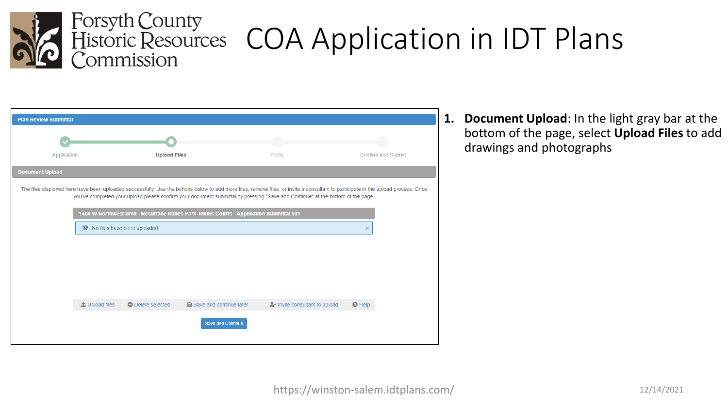

| <b>Plan Review Submittal</b> |                            |                              |                                                                                        |                                                                                                                                |                                                                                                                                                                                    |
|------------------------------|----------------------------|------------------------------|----------------------------------------------------------------------------------------|--------------------------------------------------------------------------------------------------------------------------------|------------------------------------------------------------------------------------------------------------------------------------------------------------------------------------|
|                              |                            |                              |                                                                                        |                                                                                                                                |                                                                                                                                                                                    |
| Application                  |                            | <b>Upload Files</b>          |                                                                                        | Fees                                                                                                                           | <b>Confirm and Submit</b>                                                                                                                                                          |
| <b>Document Upload</b>       |                            |                              |                                                                                        |                                                                                                                                |                                                                                                                                                                                    |
|                              |                            |                              |                                                                                        | you've completed your upload please confirm your document submittal by pressing "Save and Continue" at the bottom of the page. | The files displayed here have been uploaded successfully. Use the buttons below to add more files, remove files, or invite a consultant to participate in the upload process. Once |
|                              |                            |                              | 1404 W Northwest Blvd - Resurface Hanes Park Tennis Courts - Application Submittal 001 |                                                                                                                                |                                                                                                                                                                                    |
|                              | $\bullet$                  | No files have been uploaded. |                                                                                        |                                                                                                                                | $\times$                                                                                                                                                                           |
|                              |                            |                              |                                                                                        |                                                                                                                                |                                                                                                                                                                                    |
|                              |                            |                              |                                                                                        |                                                                                                                                |                                                                                                                                                                                    |
|                              |                            |                              |                                                                                        |                                                                                                                                |                                                                                                                                                                                    |
|                              |                            |                              |                                                                                        |                                                                                                                                |                                                                                                                                                                                    |
|                              | $\triangle$ , Upload files | <b>O</b> Delete selected     | <b>a</b> Save and continue later                                                       | <sup>2</sup> + Invite consultant to upload                                                                                     | $\Theta$ Help                                                                                                                                                                      |
|                              |                            |                              | <b>Save and Continue</b>                                                               |                                                                                                                                |                                                                                                                                                                                    |

**1. Document Upload**: In the light gray bar at the bottom of the page, select **Upload Files** to add drawings and photographs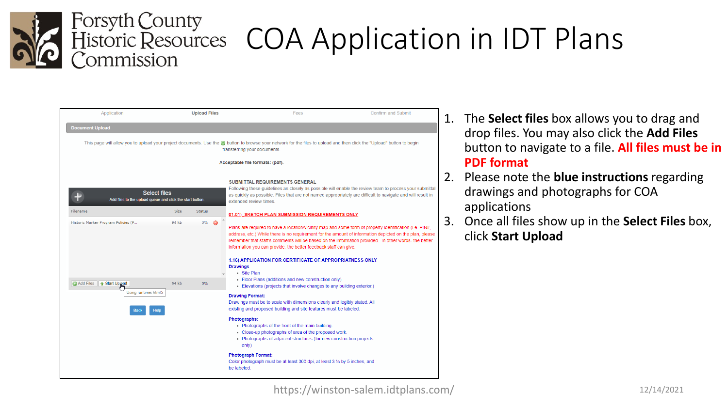

| Application                                                        | <b>Upload Files</b>                                                              | Fees                                                                                                                                                                                                                                                                         | <b>Confirm and Submit</b>                                                                                                                                                                                                                                                                                                                                                              |  |
|--------------------------------------------------------------------|----------------------------------------------------------------------------------|------------------------------------------------------------------------------------------------------------------------------------------------------------------------------------------------------------------------------------------------------------------------------|----------------------------------------------------------------------------------------------------------------------------------------------------------------------------------------------------------------------------------------------------------------------------------------------------------------------------------------------------------------------------------------|--|
| <b>Document Upload</b>                                             |                                                                                  |                                                                                                                                                                                                                                                                              |                                                                                                                                                                                                                                                                                                                                                                                        |  |
|                                                                    |                                                                                  | transferring your documents.<br>Acceptable file formats: (pdf).                                                                                                                                                                                                              | This page will allow you to upload your project documents. Use the @ button to browse your network for the files to upload and then click the "Upload" button to begin                                                                                                                                                                                                                 |  |
|                                                                    | <b>Select files</b><br>Add files to the upload queue and click the start button. | SUBMITTAL REQUIREMENTS GENERAL<br>extended review times.                                                                                                                                                                                                                     | Following these guidelines as closely as possible will enable the review team to process your submitta<br>as quickly as possible. Files that are not named appropriately are difficult to navigate and will result in                                                                                                                                                                  |  |
| Filename                                                           | <b>Size</b><br><b>Status</b>                                                     | 01.01) SKETCH PLAN SUBMISSION REQUIREMENTS ONLY                                                                                                                                                                                                                              |                                                                                                                                                                                                                                                                                                                                                                                        |  |
| Historic Marker Program Policies (P                                | 94 kb<br>$0\%$                                                                   | information you can provide, the better feedback staff can give.<br><b>Drawings</b><br>· Site Plan<br>• Floor Plans (additions and new construction only)                                                                                                                    | Plans are required to have a location/vicinity map and some form of property identification (i.e. PIN#,<br>address, etc.) While there is no requirement for the amount of information depicted on the plan, please<br>remember that staff's comments will be based on the information provided. In other words- the better<br>1.16) APPLICATION FOR CERTIFICATE OF APPROPRIATNESS ONLY |  |
| Add Files<br>↑ Start Upload<br>Using runtime: html5<br><b>Back</b> | 94 kb<br>$0\%$<br><b>Help</b>                                                    | <b>Drawing Format:</b><br>existing and proposed building and site features must be labeled.<br>Photographs:<br>• Photographs of the front of the main building.<br>- Close-up photographs of area of the proposed work.<br>only)<br><b>Photograph Format:</b><br>be labeled. | - Elevations (projects that involve changes to any building exterior.)<br>Drawings must be to scale with dimensions clearly and legibly stated. All<br>- Photographs of adjacent structures (for new construction projects<br>Color photograph must be at least 300 dpi, at least 3 1/2 by 5 inches, and                                                                               |  |
|                                                                    |                                                                                  |                                                                                                                                                                                                                                                                              |                                                                                                                                                                                                                                                                                                                                                                                        |  |

- 1. The **Select files** box allows you to drag and drop files. You may also click the **Add Files** button to navigate to a file. **All files must be in PDF format**
- 2. Please note the **blue instructions** regarding drawings and photographs for COA applications
- 3. Once all files show up in the **Select Files** box, click **Start Upload**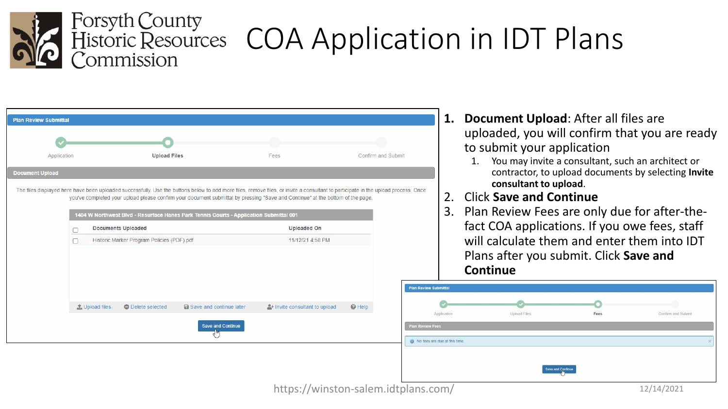

### COA Application in IDT Plans

| Application            |                                | <b>Upload Files</b>                        |                                                                                        | Fees                                                                                                                                                                                                                                                                                                                 | <b>Confirm and Submit</b> |  |
|------------------------|--------------------------------|--------------------------------------------|----------------------------------------------------------------------------------------|----------------------------------------------------------------------------------------------------------------------------------------------------------------------------------------------------------------------------------------------------------------------------------------------------------------------|---------------------------|--|
| <b>Document Upload</b> |                                |                                            |                                                                                        |                                                                                                                                                                                                                                                                                                                      |                           |  |
|                        |                                |                                            | 1404 W Northwest Blvd - Resurface Hanes Park Tennis Courts - Application Submittal 001 | The files displayed here have been uploaded successfully. Use the buttons below to add more files, remove files, or invite a consultant to participate in the upload process. Once<br>you've completed your upload please confirm your document submittal by pressing "Save and Continue" at the bottom of the page. |                           |  |
|                        | <b>Documents Uploaded</b><br>П |                                            |                                                                                        | <b>Uploaded On</b>                                                                                                                                                                                                                                                                                                   |                           |  |
|                        | п                              | Historic Marker Program Policies (PDF).pdf |                                                                                        | 11/12/21 4:58 PM                                                                                                                                                                                                                                                                                                     |                           |  |
|                        | t Upload files                 | <b>O</b> Delete selected                   | <b>a</b> Save and continue later                                                       | <sup>2</sup> + Invite consultant to upload                                                                                                                                                                                                                                                                           | $\Theta$ Help             |  |
|                        |                                |                                            |                                                                                        |                                                                                                                                                                                                                                                                                                                      |                           |  |
|                        |                                |                                            |                                                                                        |                                                                                                                                                                                                                                                                                                                      |                           |  |

- **1. Document Upload**: After all files are uploaded, you will confirm that you are ready to submit your application
	- 1. You may invite a consultant, such an architect or contractor, to upload documents by selecting **Invite consultant to upload**.
- 2. Click **Save and Continue**
- 3. Plan Review Fees are only due for after-thefact COA applications. If you owe fees, staff will calculate them and enter them into IDT Plans after you submit. Click **Save and Continue**

| Application                   | Upload Files      | Fees | Confirm and Submit |
|-------------------------------|-------------------|------|--------------------|
| <b>Plan Review Fees</b>       |                   |      |                    |
| No fees are due at this time. |                   |      |                    |
|                               |                   |      |                    |
|                               |                   |      |                    |
|                               | Save and Continue |      |                    |